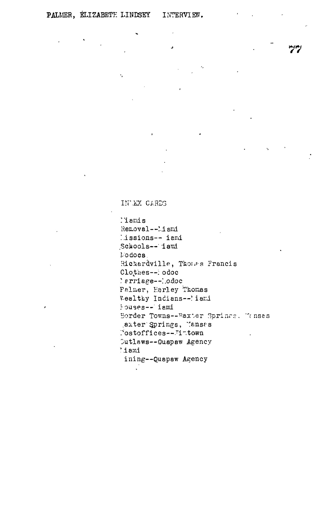$\ddot{\phantom{0}}$ 

INLEX CARDS

 $\mathbf{r}$ 

l'iamis Removal--Miami lissions-- iami Schools-- iami Modocs. Richardville, Thomas Francis Clothes--lodoc 'erriage--lodoc Palmer, Harley Thomas Wealthy Indians--'iami iouses--lami Border Towns--Baxter Springs. Tenses axter Springs, Tansas Postoffices--Timtown Cutlaws--Quapaw Agency lami ining--Quapaw Agency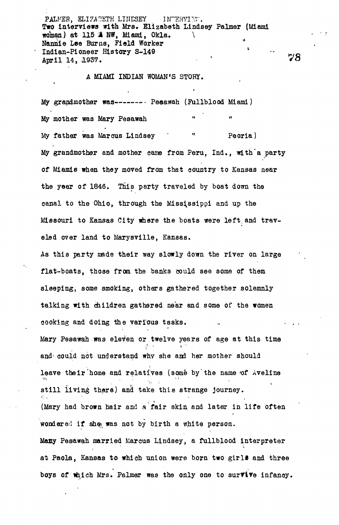PALMER, ELIZABETH LINESEY INTERVIET. Two interviews with Mrs. Elizabeth Lindsey Palmer (Miami woman) at 115 A NW, Miami, Okla. Nannie Lee Burns, Field Worker Indian-Pioneer History S-149 \* April 14, 1937.

## A MIAMI INDIAN WOMAN'S STORY.

My grandmother was ------- Peaawah (Fullblood Miami) My mother was Mary Pesawah n "mann" (1988) and "mann" (1988) and "mann" (1988) and "mann" (1988) and "mann" (1988) and "mann" (1988) and <br>The Communication of the Communication (1988) and "mann" (1988) and "mann" (1988) and "mann" (1988) and "mann" My father was Marcus Lindsey ' " Peoria) My grandmother and mother came from Peru, Ind., with'a party of Miamis when they moved from that country to Kansas near the year of 1846. This party traveled by boat down the canal to the Ohio, through the Mississippi and up the Missouri to Kansas City where the boats were left, and traveled over land to Marysville, Kansas.

As this party made their way slowly down the river on large flat-boats, those from the banks could see some of them sleeping, some smoking, others gathered together solemnly talking with children gathered near and some of the women cooking and doing the various tasks.

Mary Pesawah was eleven or twelve years of age at this time and could not understand why she and her mother should leave their home and relatives (some by the name of Aveline still living there) and take this strange journey. (Mary had brown hair and a fair skin and later in life often wondered if she was not by birth a white person. Many Pesawah married Marcus Lindsey, a fullblood interpreter at Paola, Kansas to which union were born two girls and three boys of which Mrs. Palmer was the only one to surVive infancy.

78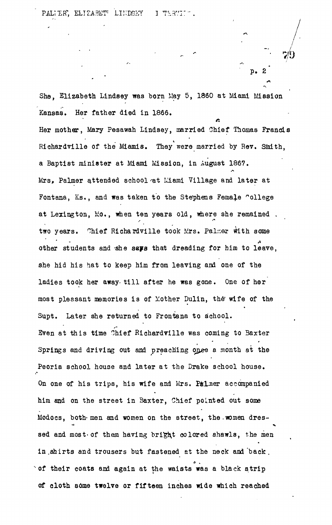p . 2

She. Elizabeth Lindsey was born May 5, 1860 at Miami Mission Kansas. Her father died in 1866.

Her mother, Mary Pesawah Lindsey, married Chief Thomas Francis Richardville of the Miamis. They were married by Rev, Smith, a Baptist minister at Miami Mission, in August 1867. Mrs, Palmer attended school at Liami Village and later at Fontana, Ks., and was taken to the Stephens Female college at Lexington, lio., nhen ten years old, where she remained . two years. Chief Richardville took Mrs. Palmer with some other students and she says that dreading for him to leave, she hid his hat to keep him from leaving and one of the ladies took her away- till after he was gone. One of her most pleasant memories is of Mother Dulin, the wife of the Supt. Later she returned to Frontana to school. Sven at this time Chief Richardville was coming to Baxter Springs and driving out and preaching onee a month at the Peoria school house and later at the Drake school house. On one of his trips, his wife and Mrs. Palmer accompanied **•** him and on the street in 3axter, Chief pointed out some Modocs, both men and women on the street, the women dres- $M_{\odot}$  and women and women on the street, the street, the street, the street, the.women dressed and most of them having bright colored shawls, the men sed and most-of them having bright colored shawls, the men in .shirts and trousers but fastened at the neck ana back . of their coats and again at the waists was a black strip of the their coats and again at the waists was a black string was a black string was a black string was a black stri of cloth some twelve or fifteen inches wide which reached

of cloth some twelve or fifteen inches wide wide wide which reached  $\alpha$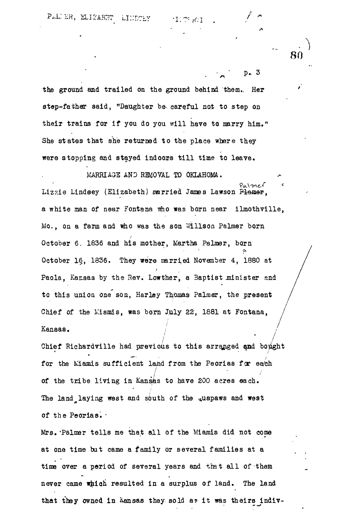$p_{\bullet}$ . 3

**80**

the ground and trailed on the ground behind them.. Her step-father said, "Daughter be careful not to step on their trains for if you do you will have to marry him," She states that she returned to the place where they were stopping and stayed indoors till time to leave.

MARRIAGE AND REMOVAL TO OKLAHOMA. Palmer Lizzie Lindeey (Elizabeth) married James Lawson Plamer, a white man of near Fontana who was born near ilmothville, Mo., on a farm and who was the son Willson Palmer born October 6. 1836 and his mother, Martha Palmer, born October 16, 1836. They were married November 4, 1880 at Paola, Kansas by the Rev. Low ther, a Baptist minister and to this union one son, Harley Th/omas Palmer, the present Chief of the Mismis, was born July 22, 1881 at Fontana, Kansas. /

**/ ' /** chief Richardville had previous to this arranged and bought for the Miamis sufficient lahd from the Peorias for ea/ch . / of the tribe living in Kansas to have 200 acres each. The land laying west and south of the  $\alpha$ uapaws and west of the Peorias. -

Mrs. Palmer tells me that all of the Miamis did not come at one time but came a family or several families at a time over a period of several years and that all of them never came which resulted in a surplus of land. The land that they owned in Kansas they sold as it was theirs indiv-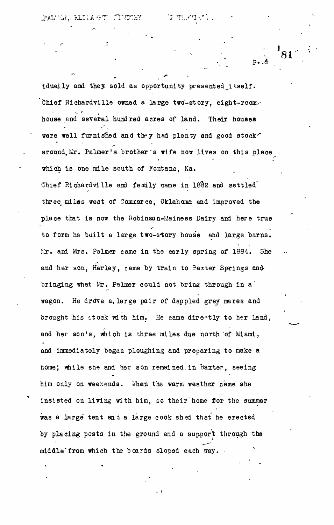idually and they sold as opportunity presented itself. Chief Richardville owned a large two-story, eight-room. house and several hundred acres of land. Their houses were well furnished and they had plenty and good stock $\hat{ }$ around. Mr. Palmer's brother's wife now lives on this place which is one mile south of Fontana, Ka. Chief Richardville and family same in 18§2 and settled' three miles west of Commerce, Oklahoma and improved the place that is now the Robinson-Mainess Dairy and here true to form he built a large two-story house and large barns. Mr. and Mrs. Palmer came in the early spring of 1884. She and her son, Harley, came by train to Baxter Springs andbringing what Mr. Palmer could not bring through in a' wagon. He drove a, large pair of dappled grey mares and brought his stock with him. He came directly to her land, and her son's, which is three miles due north of Miami, and immediately began ploughing and preparing to make a home; while she and her son remained in Baxter, seeing him, only on weekends. When the warm weather came she insisted on living with him, so their home for the summer was a large tent and a large cook shed that he erected by placing posts in the ground and a support through the middle'from which the boards sloped each way.

**'«**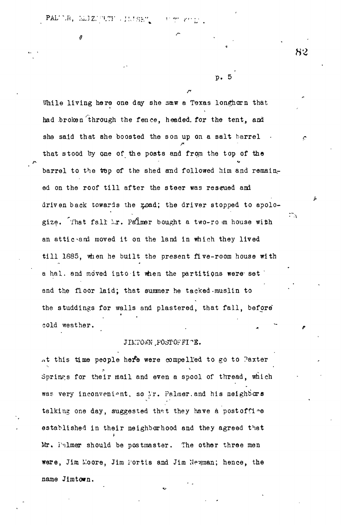$\texttt{PAL}^* \mathbb{C}R$ ,  $\texttt{MLJZ}^* \oplus \texttt{CT}^* \to \texttt{IMISE}^*$  $-1.5$  and

While living here one day she saw a Texas longhorn that had broken through the fence, headed, for the tent, and she said that she boosted the son up on a salt barrel that stood by one of the posts and from the top of the barrel to the top of the shed and followed him and remained on the roof till after the steer was rescued and driven back towards the road; the driver stopped to apologize. That fall  $\lambda$ r. Palmer bought a two-ro m house with an attic and moved it on the land in which they lived till 1885, when he built the present five-room house with a hal. and moved into it when the partitions were set and the floor laid; that summer he tacked-muslin to the studdings for walls and plastered, that fall, before t

cold weather.

## JIMTOWN POSTOFFI^E.

at this time people here were compelled to go to Paxter Springs for their mail and even a spool of thread, which was very inconvenient, so Mr. Palmer.and his neighbors talking one day, suggested that they have a postoffice established in their neighborhood and they agreed that Mr. Palmer should be postmaster. The other three men were, Jim Moore, Jim i'ortis and Jim Newman; hence, the name Jimtown.

82

 $\mathbb{Z}^n$  .

p. 5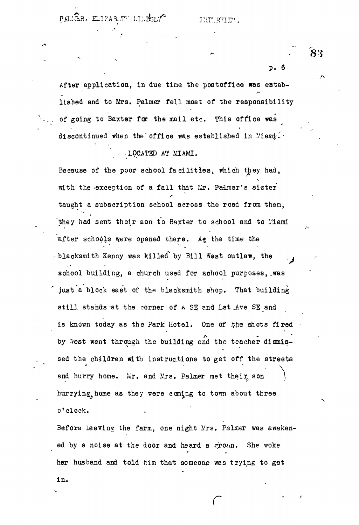PALER, ELIZABUTT LILESEY

JHT.R'IE".

83

p. 6

After application, in due time the postoffloe was eatablished and to Mrs. Palmer fell most of the responsibility of going to Baxter for the mail etc. This office was discontinued when the office was established in Miamy.

## ' - -LOCATED AT MIAMI.

Because of the poor school facilities, which they had, with the exception of a fall that Mr. Palmer's sister taught a subscription school across the road from them, they had sent their son to Baxter to school and to Mami after schools were opened there. A $_{\pm}$  the time the -blacksmith Kenny was killed by Bill West outlaw, the school building, a church used for school purposes, was just a block east of the blecksmith shop. That building still stands at the corner of A SE and Lst Ave SE and is known today as the Park Hotel. One of the shots fired by West went through the building and the teacher dismissed the children with instructions to get off the streets and hurry home. Mr. and Mrs. Palmer met their son hurrying home as they were coming to town about three o'clock.

Before leaving the farm, one night Mrs. Palmer was awakened by a noise at the door and heard a  $\epsilon_T$ o $\iota$ n. She woke her husband and told him that someone was trying to get

**r '**

her husband and told him that someone was trying to get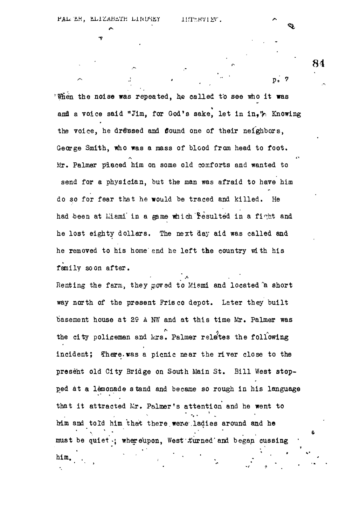**84**

\* Then the noise was repeated, he called to see who it was and a voice said "Jim, for God's sake, let in in." Knowing the voice, he dressed and flound one of their neighbors, George Smith, who was a mass of blood from head to foot. Mr. Palmer placed him on some old comforts and wanted to send for a physician, but the man was afraid to have him do so for fear that he would be traced and killed. He had been at Miami' in a game which 'resulted in a fight and he lost eighty dollars. The next day aid was called and he removed to his home'end he left the country with his fanily soon after.

 $\mathbb{P}^{\bullet}$  , and the proposition of  $\mathbb{P}^{\bullet}$  is a  $\mathbb{P}^{\bullet}$  function of  $\mathbb{P}^{\bullet}$  is a  $\mathbb{P}^{\bullet}$ 

Renting the farm, they goved to Miami and located a short way north of the present Frisco depot. Later they built basement house at 29 A NW and at this time Mr. Palmer was the city policeman and Mrs. Palmer relates the following incident; There.was a picnic near the river close to the present old City Bridge on South Main St. Bill West stopped at a lemonade s tand and became so rough in his language that it attracted Mr. Pslmer's attention and he went to him and told him that there were ladies around and he must be quiet : whereupon, West turned and began cussing  $\ddot{\mathbf{r}}$  -  $\ddot{\mathbf{r}}$ \* • •» • him. In this case, we have a set of  $\mathcal{L}$  , we have a set of  $\mathcal{L}$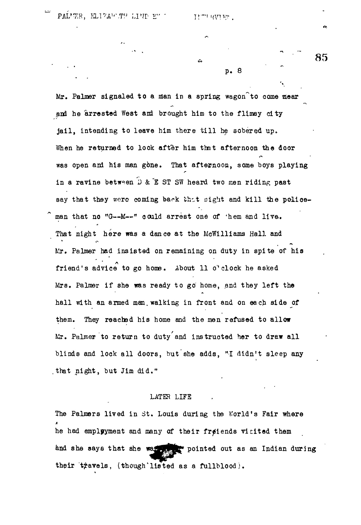PAL<sup>I</sup>TER, KLIZAWTT LIND E" ' II''' UV

. Thursday in the li

**85**

p. 8

Mr. Palmer signaled to a man in a spring wagon to come near and he arrested West and brought him to the flimsy city jail, intending to leave him there till he sobered up. When he returned to look after him that afternoon the door was open and his man gone. That afternoon, some boys playing in a ravine between D & E ST SW heard two men riding past say that they were coming back that sight and kill the policeman that no "G--M--" could arrest one of 'hem and live. That night here was a dance at the McWilliams Hall and Mr. Palmer had insisted on remaining on duty in spite of his friend's advice to go home. About 11 o'clock he asked Mrs. Palmer if she was ready to go home, and they left the hall with an armed man. walking in front and on each side of them. They reached his home and the men refused to allow Mr. Palmer to return to duty and instructed her to draw all blinds and lock all doors, but she adds, "I didn't sleep any .that night, but Jim did."

## LATER LIFE

The Palmers lived in St. Louis during the World's Fair where he had emplyyment and many of their freiends vicited them and she says that she was seen pointed out as an Indian during their travels, (though listed as a fullblood).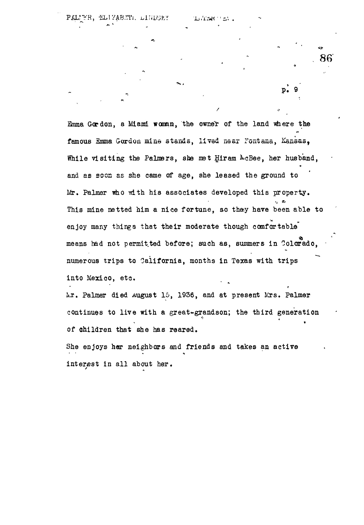**86**

**»**

Emma Gordon, a Miami woman, the owner of the land where the famous Emma Gordon mine stands, lived near Fontana, Kansas, While visiting the Palmers, she met Hiram AcBee, her husband, and as soon as she came of age, she leased the ground to *hie\** Palmer who with his associates developed this property. This mine netted him a nice fortune, so they have been able to enjoy many things that their moderate though comfortable means had not permit.ted before; such as, summers in Colorado, numerous trips to California, months in Texas with trips into Mexico, etc.

kr. Palmer died August 15, 1936, and at present Mrs. Palmer continues to live with a great-grandson; the third generation « of children that she has reared.

A.

She enjoys her neighbors and friends and takes an active • • • • \* interest in all about her.